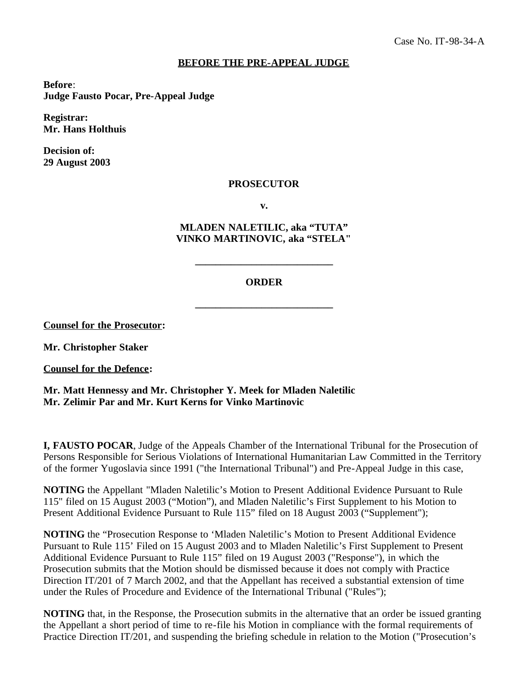## **BEFORE THE PRE-APPEAL JUDGE**

**Before**: **Judge Fausto Pocar, Pre-Appeal Judge**

**Registrar: Mr. Hans Holthuis**

**Decision of: 29 August 2003**

## **PROSECUTOR**

**v.**

**MLADEN NALETILIC, aka "TUTA" VINKO MARTINOVIC, aka "STELA"**

## **ORDER**

**\_\_\_\_\_\_\_\_\_\_\_\_\_\_\_\_\_\_\_\_\_\_\_\_\_\_\_**

**\_\_\_\_\_\_\_\_\_\_\_\_\_\_\_\_\_\_\_\_\_\_\_\_\_\_\_**

**Counsel for the Prosecutor:**

**Mr. Christopher Staker**

**Counsel for the Defence:**

**Mr. Matt Hennessy and Mr. Christopher Y. Meek for Mladen Naletilic Mr. Zelimir Par and Mr. Kurt Kerns for Vinko Martinovic**

**I, FAUSTO POCAR**, Judge of the Appeals Chamber of the International Tribunal for the Prosecution of Persons Responsible for Serious Violations of International Humanitarian Law Committed in the Territory of the former Yugoslavia since 1991 ("the International Tribunal") and Pre-Appeal Judge in this case,

**NOTING** the Appellant "Mladen Naletilic's Motion to Present Additional Evidence Pursuant to Rule 115" filed on 15 August 2003 ("Motion"), and Mladen Naletilic's First Supplement to his Motion to Present Additional Evidence Pursuant to Rule 115" filed on 18 August 2003 ("Supplement");

**NOTING** the "Prosecution Response to 'Mladen Naletilic's Motion to Present Additional Evidence Pursuant to Rule 115' Filed on 15 August 2003 and to Mladen Naletilic's First Supplement to Present Additional Evidence Pursuant to Rule 115" filed on 19 August 2003 ("Response"), in which the Prosecution submits that the Motion should be dismissed because it does not comply with Practice Direction IT/201 of 7 March 2002, and that the Appellant has received a substantial extension of time under the Rules of Procedure and Evidence of the International Tribunal ("Rules");

**NOTING** that, in the Response, the Prosecution submits in the alternative that an order be issued granting the Appellant a short period of time to re-file his Motion in compliance with the formal requirements of Practice Direction IT/201, and suspending the briefing schedule in relation to the Motion ("Prosecution's